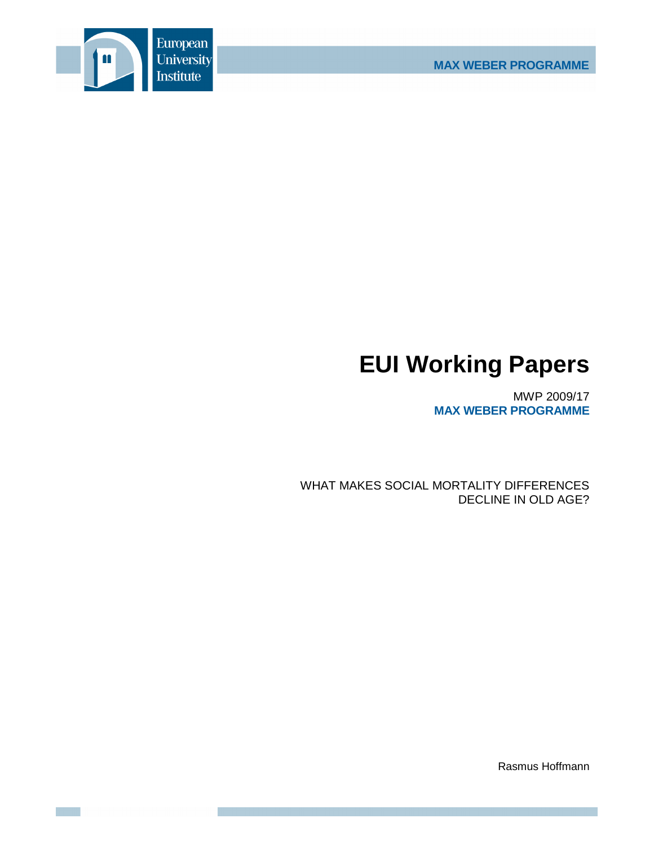

# **EUI Working Papers**

MWP 2009/17 **MAX WEBER PROGRAMME**

WHAT MAKES SOCIAL MORTALITY DIFFERENCES DECLINE IN OLD AGE?

Rasmus Hoffmann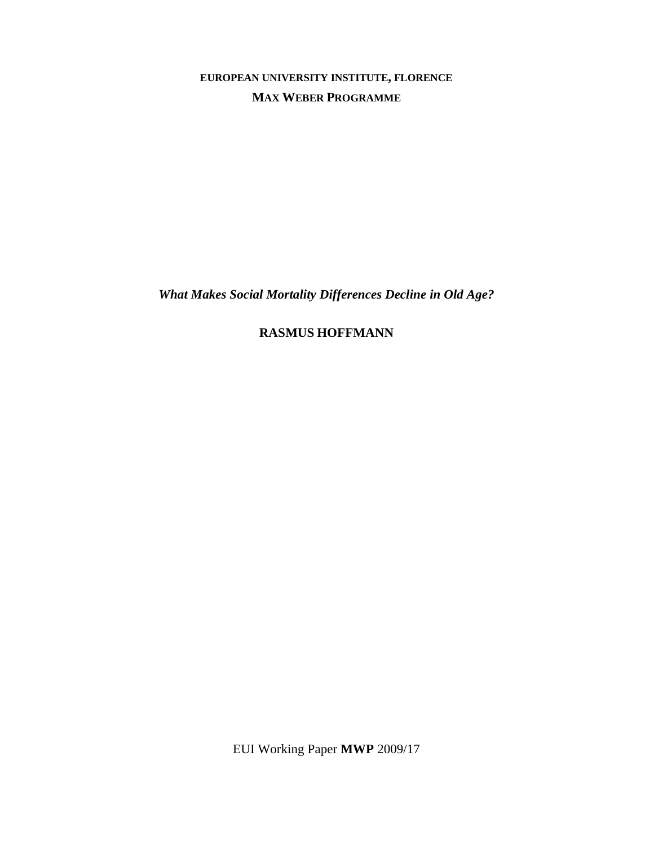**EUROPEAN UNIVERSITY INSTITUTE, FLORENCE MAX WEBER PROGRAMME**

*What Makes Social Mortality Differences Decline in Old Age?* 

**RASMUS HOFFMANN**

EUI Working Paper **MWP** 2009/17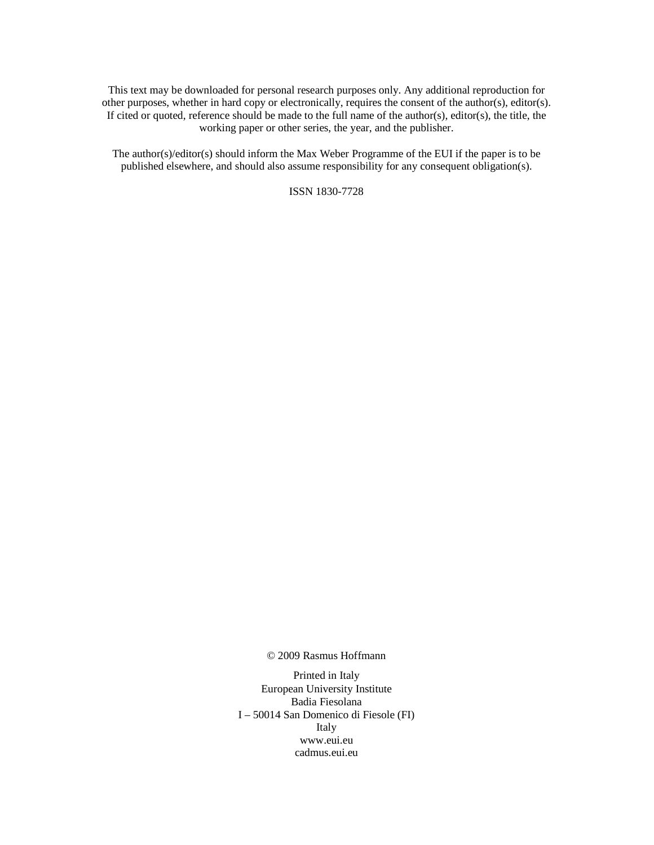This text may be downloaded for personal research purposes only. Any additional reproduction for other purposes, whether in hard copy or electronically, requires the consent of the author(s), editor(s). If cited or quoted, reference should be made to the full name of the author(s), editor(s), the title, the working paper or other series, the year, and the publisher.

The author(s)/editor(s) should inform the Max Weber Programme of the EUI if the paper is to be published elsewhere, and should also assume responsibility for any consequent obligation(s).

ISSN 1830-7728

© 2009 Rasmus Hoffmann

Printed in Italy European University Institute Badia Fiesolana I – 50014 San Domenico di Fiesole (FI) Italy www.eui.eu cadmus.eui.eu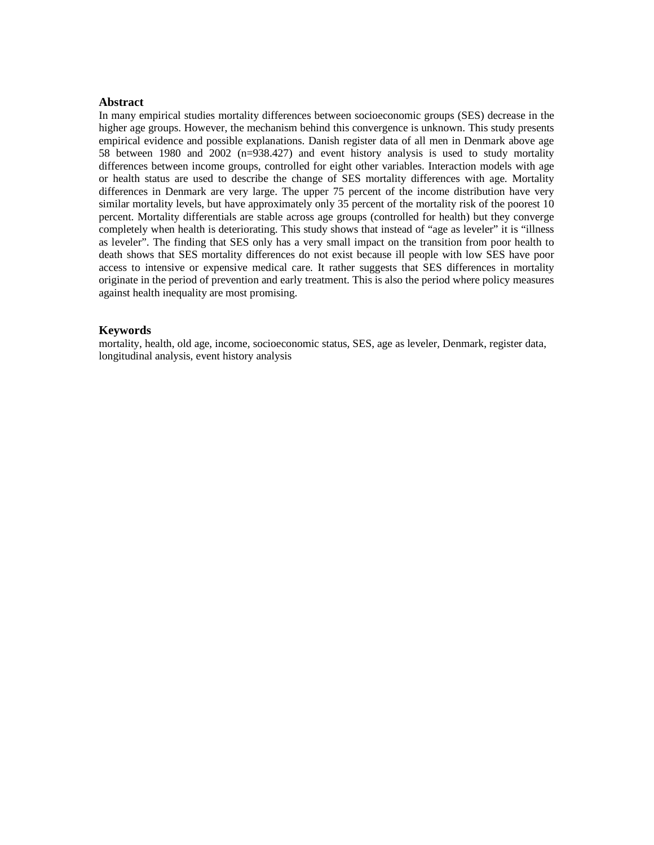# **Abstract**

In many empirical studies mortality differences between socioeconomic groups (SES) decrease in the higher age groups. However, the mechanism behind this convergence is unknown. This study presents empirical evidence and possible explanations. Danish register data of all men in Denmark above age 58 between 1980 and 2002 (n=938.427) and event history analysis is used to study mortality differences between income groups, controlled for eight other variables. Interaction models with age or health status are used to describe the change of SES mortality differences with age. Mortality differences in Denmark are very large. The upper 75 percent of the income distribution have very similar mortality levels, but have approximately only 35 percent of the mortality risk of the poorest 10 percent. Mortality differentials are stable across age groups (controlled for health) but they converge completely when health is deteriorating. This study shows that instead of "age as leveler" it is "illness as leveler". The finding that SES only has a very small impact on the transition from poor health to death shows that SES mortality differences do not exist because ill people with low SES have poor access to intensive or expensive medical care. It rather suggests that SES differences in mortality originate in the period of prevention and early treatment. This is also the period where policy measures against health inequality are most promising.

### **Keywords**

mortality, health, old age, income, socioeconomic status, SES, age as leveler, Denmark, register data, longitudinal analysis, event history analysis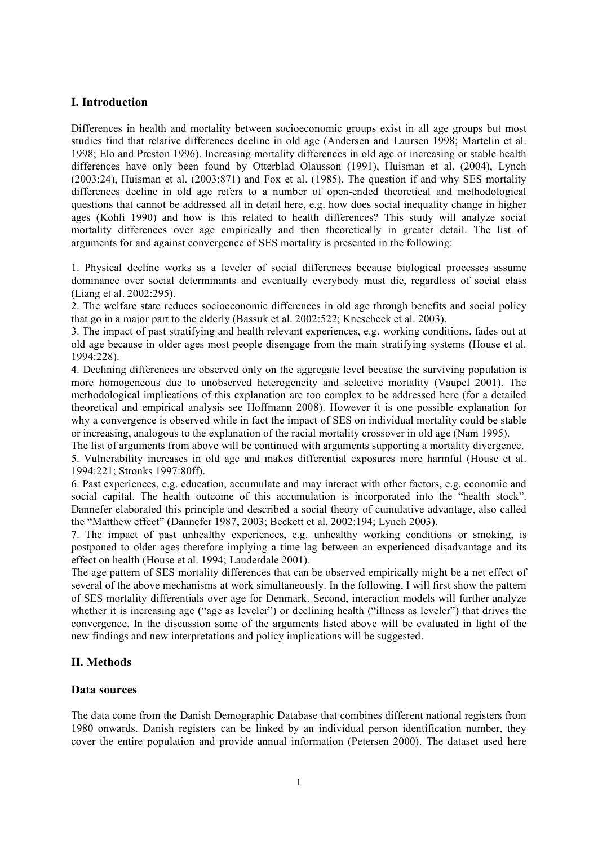# **I. Introduction**

Differences in health and mortality between socioeconomic groups exist in all age groups but most studies find that relative differences decline in old age (Andersen and Laursen 1998; Martelin et al. 1998; Elo and Preston 1996). Increasing mortality differences in old age or increasing or stable health differences have only been found by Otterblad Olausson (1991), Huisman et al. (2004), Lynch (2003:24), Huisman et al. (2003:871) and Fox et al. (1985). The question if and why SES mortality differences decline in old age refers to a number of open-ended theoretical and methodological questions that cannot be addressed all in detail here, e.g. how does social inequality change in higher ages (Kohli 1990) and how is this related to health differences? This study will analyze social mortality differences over age empirically and then theoretically in greater detail. The list of arguments for and against convergence of SES mortality is presented in the following:

1. Physical decline works as a leveler of social differences because biological processes assume dominance over social determinants and eventually everybody must die, regardless of social class (Liang et al. 2002:295).

2. The welfare state reduces socioeconomic differences in old age through benefits and social policy that go in a major part to the elderly (Bassuk et al. 2002:522; Knesebeck et al. 2003).

3. The impact of past stratifying and health relevant experiences, e.g. working conditions, fades out at old age because in older ages most people disengage from the main stratifying systems (House et al. 1994:228).

4. Declining differences are observed only on the aggregate level because the surviving population is more homogeneous due to unobserved heterogeneity and selective mortality (Vaupel 2001). The methodological implications of this explanation are too complex to be addressed here (for a detailed theoretical and empirical analysis see Hoffmann 2008). However it is one possible explanation for why a convergence is observed while in fact the impact of SES on individual mortality could be stable or increasing, analogous to the explanation of the racial mortality crossover in old age (Nam 1995).

The list of arguments from above will be continued with arguments supporting a mortality divergence.

5. Vulnerability increases in old age and makes differential exposures more harmful (House et al. 1994:221; Stronks 1997:80ff).

6. Past experiences, e.g. education, accumulate and may interact with other factors, e.g. economic and social capital. The health outcome of this accumulation is incorporated into the "health stock". Dannefer elaborated this principle and described a social theory of cumulative advantage, also called the "Matthew effect" (Dannefer 1987, 2003; Beckett et al. 2002:194; Lynch 2003).

7. The impact of past unhealthy experiences, e.g. unhealthy working conditions or smoking, is postponed to older ages therefore implying a time lag between an experienced disadvantage and its effect on health (House et al. 1994; Lauderdale 2001).

The age pattern of SES mortality differences that can be observed empirically might be a net effect of several of the above mechanisms at work simultaneously. In the following, I will first show the pattern of SES mortality differentials over age for Denmark. Second, interaction models will further analyze whether it is increasing age ("age as leveler") or declining health ("illness as leveler") that drives the convergence. In the discussion some of the arguments listed above will be evaluated in light of the new findings and new interpretations and policy implications will be suggested.

# **II. Methods**

# **Data sources**

The data come from the Danish Demographic Database that combines different national registers from 1980 onwards. Danish registers can be linked by an individual person identification number, they cover the entire population and provide annual information (Petersen 2000). The dataset used here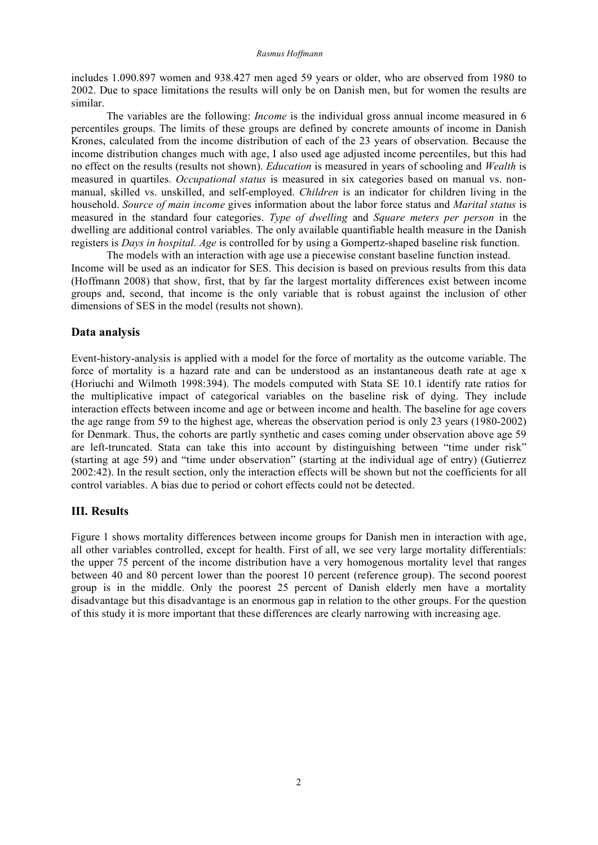includes 1.090.897 women and 938.427 men aged 59 years or older, who are observed from 1980 to 2002. Due to space limitations the results will only be on Danish men, but for women the results are similar.

The variables are the following: *Income* is the individual gross annual income measured in 6 percentiles groups. The limits of these groups are defined by concrete amounts of income in Danish Krones, calculated from the income distribution of each of the 23 years of observation. Because the income distribution changes much with age, I also used age adjusted income percentiles, but this had no effect on the results (results not shown). *Education* is measured in years of schooling and *Wealth* is measured in quartiles. *Occupational status* is measured in six categories based on manual vs. nonmanual, skilled vs. unskilled, and self-employed. *Children* is an indicator for children living in the household. *Source of main income* gives information about the labor force status and *Marital status* is measured in the standard four categories. *Type of dwelling* and *Square meters per person* in the dwelling are additional control variables. The only available quantifiable health measure in the Danish registers is *Days in hospital. Age* is controlled for by using a Gompertz-shaped baseline risk function.

The models with an interaction with age use a piecewise constant baseline function instead. Income will be used as an indicator for SES. This decision is based on previous results from this data (Hoffmann 2008) that show, first, that by far the largest mortality differences exist between income groups and, second, that income is the only variable that is robust against the inclusion of other dimensions of SES in the model (results not shown).

# **Data analysis**

Event-history-analysis is applied with a model for the force of mortality as the outcome variable. The force of mortality is a hazard rate and can be understood as an instantaneous death rate at age x (Horiuchi and Wilmoth 1998:394). The models computed with Stata SE 10.1 identify rate ratios for the multiplicative impact of categorical variables on the baseline risk of dying. They include interaction effects between income and age or between income and health. The baseline for age covers the age range from 59 to the highest age, whereas the observation period is only 23 years (1980-2002) for Denmark. Thus, the cohorts are partly synthetic and cases coming under observation above age 59 are left-truncated. Stata can take this into account by distinguishing between "time under risk" (starting at age 59) and "time under observation" (starting at the individual age of entry) (Gutierrez 2002:42). In the result section, only the interaction effects will be shown but not the coefficients for all control variables. A bias due to period or cohort effects could not be detected.

# **III. Results**

Figure 1 shows mortality differences between income groups for Danish men in interaction with age, all other variables controlled, except for health. First of all, we see very large mortality differentials: the upper 75 percent of the income distribution have a very homogenous mortality level that ranges between 40 and 80 percent lower than the poorest 10 percent (reference group). The second poorest group is in the middle. Only the poorest 25 percent of Danish elderly men have a mortality disadvantage but this disadvantage is an enormous gap in relation to the other groups. For the question of this study it is more important that these differences are clearly narrowing with increasing age.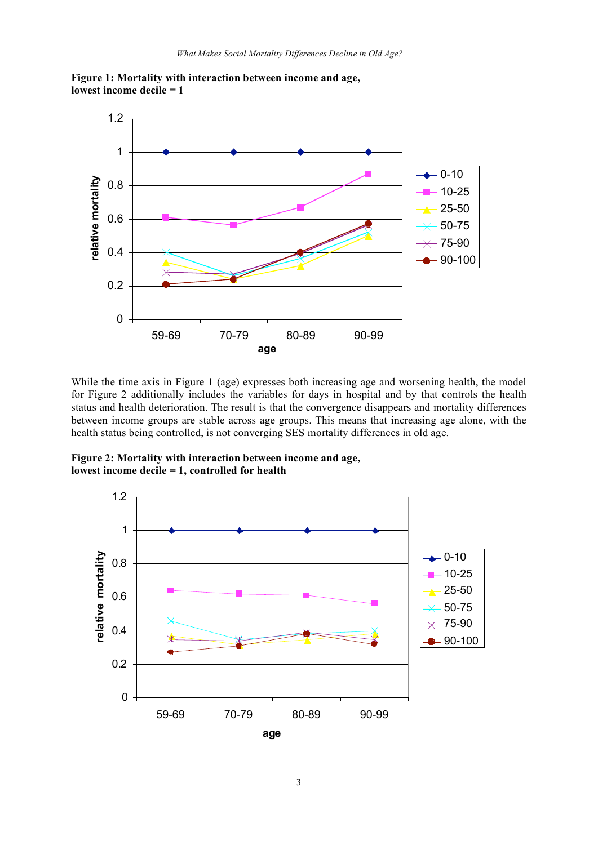

**Figure 1: Mortality with interaction between income and age, lowest income decile = 1**

While the time axis in Figure 1 (age) expresses both increasing age and worsening health, the model for Figure 2 additionally includes the variables for days in hospital and by that controls the health status and health deterioration. The result is that the convergence disappears and mortality differences between income groups are stable across age groups. This means that increasing age alone, with the health status being controlled, is not converging SES mortality differences in old age.

**Figure 2: Mortality with interaction between income and age, lowest income decile = 1, controlled for health**

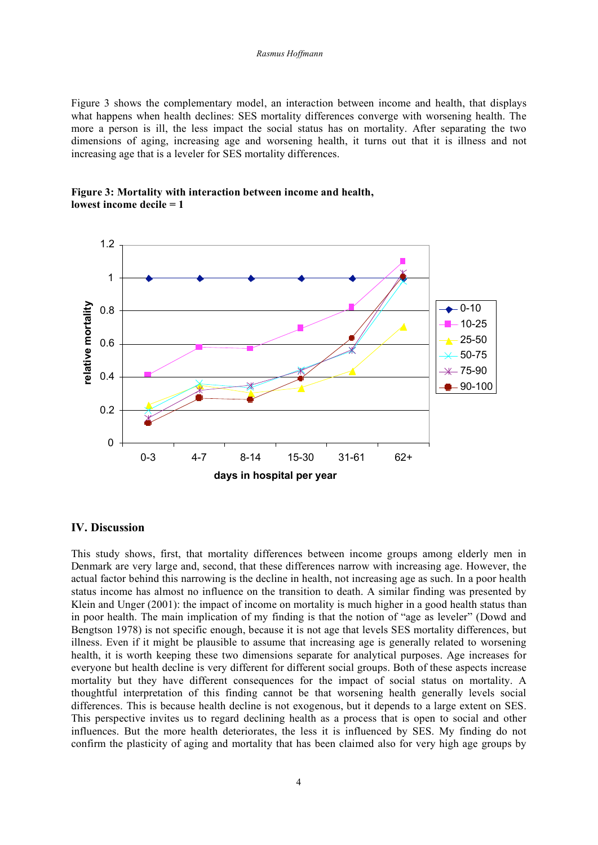Figure 3 shows the complementary model, an interaction between income and health, that displays what happens when health declines: SES mortality differences converge with worsening health. The more a person is ill, the less impact the social status has on mortality. After separating the two dimensions of aging, increasing age and worsening health, it turns out that it is illness and not increasing age that is a leveler for SES mortality differences.





### **IV. Discussion**

This study shows, first, that mortality differences between income groups among elderly men in Denmark are very large and, second, that these differences narrow with increasing age. However, the actual factor behind this narrowing is the decline in health, not increasing age as such. In a poor health status income has almost no influence on the transition to death. A similar finding was presented by Klein and Unger (2001): the impact of income on mortality is much higher in a good health status than in poor health. The main implication of my finding is that the notion of "age as leveler" (Dowd and Bengtson 1978) is not specific enough, because it is not age that levels SES mortality differences, but illness. Even if it might be plausible to assume that increasing age is generally related to worsening health, it is worth keeping these two dimensions separate for analytical purposes. Age increases for everyone but health decline is very different for different social groups. Both of these aspects increase mortality but they have different consequences for the impact of social status on mortality. A thoughtful interpretation of this finding cannot be that worsening health generally levels social differences. This is because health decline is not exogenous, but it depends to a large extent on SES. This perspective invites us to regard declining health as a process that is open to social and other influences. But the more health deteriorates, the less it is influenced by SES. My finding do not confirm the plasticity of aging and mortality that has been claimed also for very high age groups by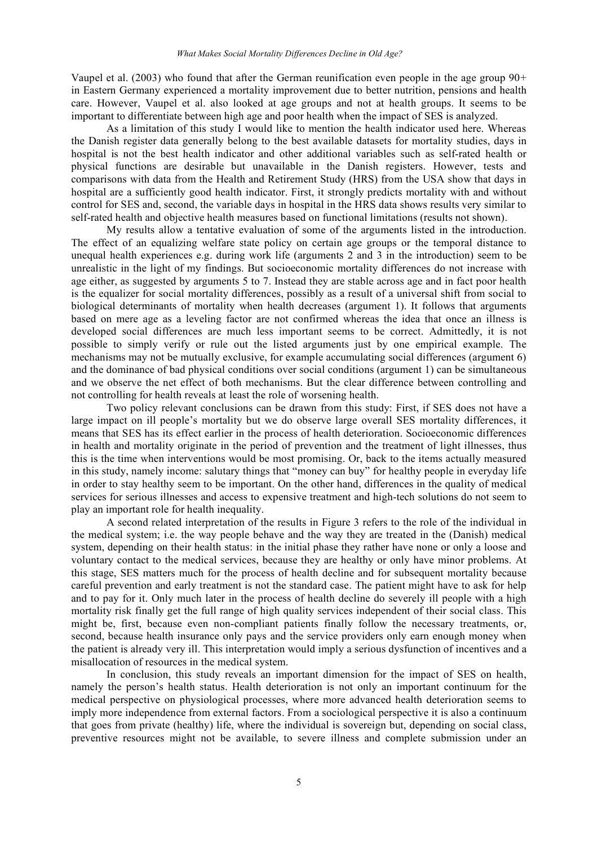Vaupel et al. (2003) who found that after the German reunification even people in the age group  $90+$ in Eastern Germany experienced a mortality improvement due to better nutrition, pensions and health care. However, Vaupel et al. also looked at age groups and not at health groups. It seems to be important to differentiate between high age and poor health when the impact of SES is analyzed.

As a limitation of this study I would like to mention the health indicator used here. Whereas the Danish register data generally belong to the best available datasets for mortality studies, days in hospital is not the best health indicator and other additional variables such as self-rated health or physical functions are desirable but unavailable in the Danish registers. However, tests and comparisons with data from the Health and Retirement Study (HRS) from the USA show that days in hospital are a sufficiently good health indicator. First, it strongly predicts mortality with and without control for SES and, second, the variable days in hospital in the HRS data shows results very similar to self-rated health and objective health measures based on functional limitations (results not shown).

My results allow a tentative evaluation of some of the arguments listed in the introduction. The effect of an equalizing welfare state policy on certain age groups or the temporal distance to unequal health experiences e.g. during work life (arguments 2 and 3 in the introduction) seem to be unrealistic in the light of my findings. But socioeconomic mortality differences do not increase with age either, as suggested by arguments 5 to 7. Instead they are stable across age and in fact poor health is the equalizer for social mortality differences, possibly as a result of a universal shift from social to biological determinants of mortality when health decreases (argument 1). It follows that arguments based on mere age as a leveling factor are not confirmed whereas the idea that once an illness is developed social differences are much less important seems to be correct. Admittedly, it is not possible to simply verify or rule out the listed arguments just by one empirical example. The mechanisms may not be mutually exclusive, for example accumulating social differences (argument 6) and the dominance of bad physical conditions over social conditions (argument 1) can be simultaneous and we observe the net effect of both mechanisms. But the clear difference between controlling and not controlling for health reveals at least the role of worsening health.

Two policy relevant conclusions can be drawn from this study: First, if SES does not have a large impact on ill people's mortality but we do observe large overall SES mortality differences, it means that SES has its effect earlier in the process of health deterioration. Socioeconomic differences in health and mortality originate in the period of prevention and the treatment of light illnesses, thus this is the time when interventions would be most promising. Or, back to the items actually measured in this study, namely income: salutary things that "money can buy" for healthy people in everyday life in order to stay healthy seem to be important. On the other hand, differences in the quality of medical services for serious illnesses and access to expensive treatment and high-tech solutions do not seem to play an important role for health inequality.

A second related interpretation of the results in Figure 3 refers to the role of the individual in the medical system; i.e. the way people behave and the way they are treated in the (Danish) medical system, depending on their health status: in the initial phase they rather have none or only a loose and voluntary contact to the medical services, because they are healthy or only have minor problems. At this stage, SES matters much for the process of health decline and for subsequent mortality because careful prevention and early treatment is not the standard case. The patient might have to ask for help and to pay for it. Only much later in the process of health decline do severely ill people with a high mortality risk finally get the full range of high quality services independent of their social class. This might be, first, because even non-compliant patients finally follow the necessary treatments, or, second, because health insurance only pays and the service providers only earn enough money when the patient is already very ill. This interpretation would imply a serious dysfunction of incentives and a misallocation of resources in the medical system.

In conclusion, this study reveals an important dimension for the impact of SES on health, namely the person's health status. Health deterioration is not only an important continuum for the medical perspective on physiological processes, where more advanced health deterioration seems to imply more independence from external factors. From a sociological perspective it is also a continuum that goes from private (healthy) life, where the individual is sovereign but, depending on social class, preventive resources might not be available, to severe illness and complete submission under an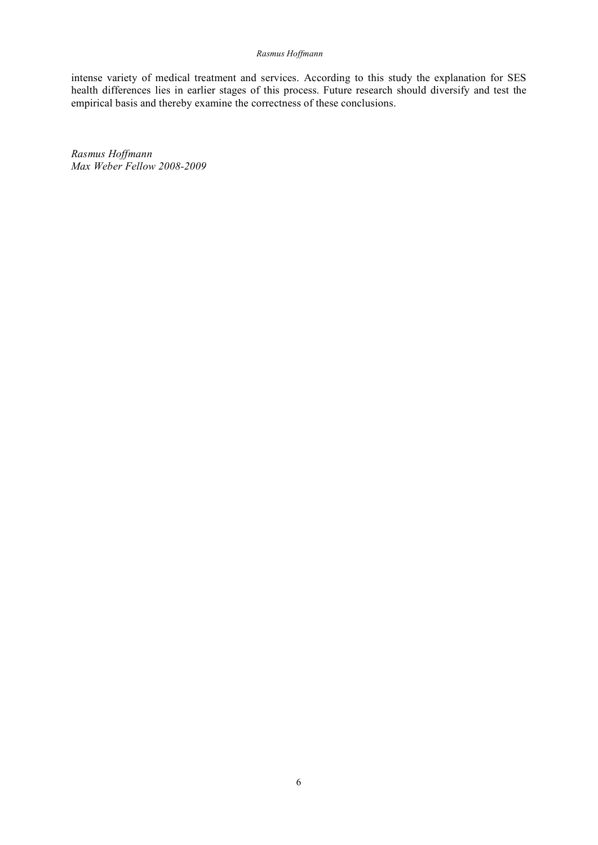#### *Rasmus Hoffmann*

intense variety of medical treatment and services. According to this study the explanation for SES health differences lies in earlier stages of this process. Future research should diversify and test the empirical basis and thereby examine the correctness of these conclusions.

*Rasmus Hoffmann Max Weber Fellow 2008-2009*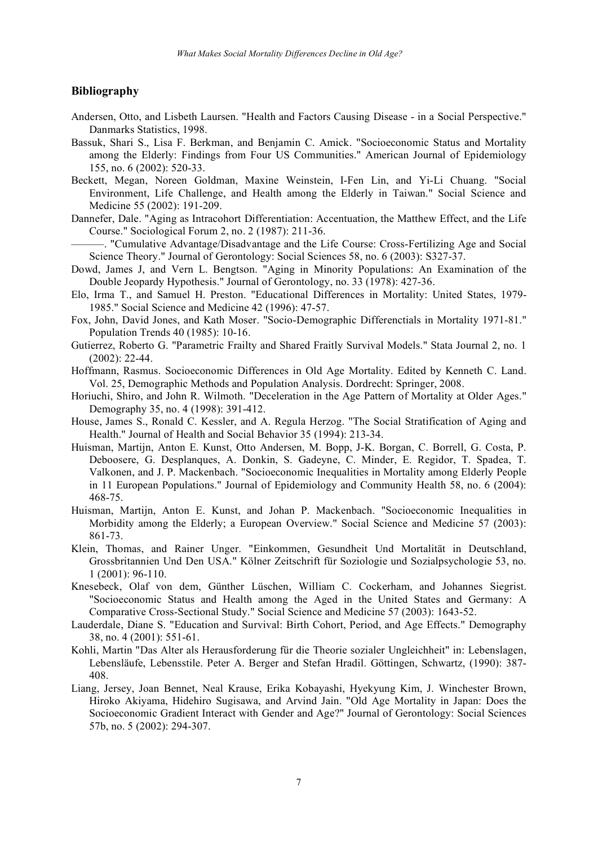### **Bibliography**

- Andersen, Otto, and Lisbeth Laursen. "Health and Factors Causing Disease in a Social Perspective." Danmarks Statistics, 1998.
- Bassuk, Shari S., Lisa F. Berkman, and Benjamin C. Amick. "Socioeconomic Status and Mortality among the Elderly: Findings from Four US Communities." American Journal of Epidemiology 155, no. 6 (2002): 520-33.
- Beckett, Megan, Noreen Goldman, Maxine Weinstein, I-Fen Lin, and Yi-Li Chuang. "Social Environment, Life Challenge, and Health among the Elderly in Taiwan." Social Science and Medicine 55 (2002): 191-209.
- Dannefer, Dale. "Aging as Intracohort Differentiation: Accentuation, the Matthew Effect, and the Life Course." Sociological Forum 2, no. 2 (1987): 211-36.

———. "Cumulative Advantage/Disadvantage and the Life Course: Cross-Fertilizing Age and Social Science Theory." Journal of Gerontology: Social Sciences 58, no. 6 (2003): S327-37.

- Dowd, James J, and Vern L. Bengtson. "Aging in Minority Populations: An Examination of the Double Jeopardy Hypothesis." Journal of Gerontology, no. 33 (1978): 427-36.
- Elo, Irma T., and Samuel H. Preston. "Educational Differences in Mortality: United States, 1979- 1985." Social Science and Medicine 42 (1996): 47-57.
- Fox, John, David Jones, and Kath Moser. "Socio-Demographic Differenctials in Mortality 1971-81." Population Trends 40 (1985): 10-16.
- Gutierrez, Roberto G. "Parametric Frailty and Shared Fraitly Survival Models." Stata Journal 2, no. 1 (2002): 22-44.
- Hoffmann, Rasmus. Socioeconomic Differences in Old Age Mortality. Edited by Kenneth C. Land. Vol. 25, Demographic Methods and Population Analysis. Dordrecht: Springer, 2008.
- Horiuchi, Shiro, and John R. Wilmoth. "Deceleration in the Age Pattern of Mortality at Older Ages." Demography 35, no. 4 (1998): 391-412.
- House, James S., Ronald C. Kessler, and A. Regula Herzog. "The Social Stratification of Aging and Health." Journal of Health and Social Behavior 35 (1994): 213-34.
- Huisman, Martijn, Anton E. Kunst, Otto Andersen, M. Bopp, J-K. Borgan, C. Borrell, G. Costa, P. Deboosere, G. Desplanques, A. Donkin, S. Gadeyne, C. Minder, E. Regidor, T. Spadea, T. Valkonen, and J. P. Mackenbach. "Socioeconomic Inequalities in Mortality among Elderly People in 11 European Populations." Journal of Epidemiology and Community Health 58, no. 6 (2004): 468-75.
- Huisman, Martijn, Anton E. Kunst, and Johan P. Mackenbach. "Socioeconomic Inequalities in Morbidity among the Elderly; a European Overview." Social Science and Medicine 57 (2003): 861-73.
- Klein, Thomas, and Rainer Unger. "Einkommen, Gesundheit Und Mortalität in Deutschland, Grossbritannien Und Den USA." Kölner Zeitschrift für Soziologie und Sozialpsychologie 53, no. 1 (2001): 96-110.
- Knesebeck, Olaf von dem, Günther Lüschen, William C. Cockerham, and Johannes Siegrist. "Socioeconomic Status and Health among the Aged in the United States and Germany: A Comparative Cross-Sectional Study." Social Science and Medicine 57 (2003): 1643-52.
- Lauderdale, Diane S. "Education and Survival: Birth Cohort, Period, and Age Effects." Demography 38, no. 4 (2001): 551-61.
- Kohli, Martin "Das Alter als Herausforderung für die Theorie sozialer Ungleichheit" in: Lebenslagen, Lebensläufe, Lebensstile. Peter A. Berger and Stefan Hradil. Göttingen, Schwartz, (1990): 387- 408.
- Liang, Jersey, Joan Bennet, Neal Krause, Erika Kobayashi, Hyekyung Kim, J. Winchester Brown, Hiroko Akiyama, Hidehiro Sugisawa, and Arvind Jain. "Old Age Mortality in Japan: Does the Socioeconomic Gradient Interact with Gender and Age?" Journal of Gerontology: Social Sciences 57b, no. 5 (2002): 294-307.